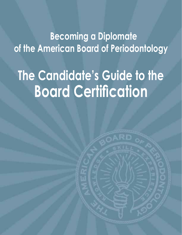**Becoming a Diplomate of the American Board of Periodontology**

# **The Candidate's Guide to the Board Certification**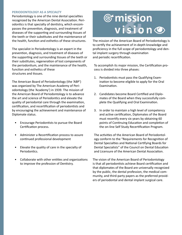## **PERIODONTOLOGY AS A SPECIALTY**

Periodontology is one of the nine dental specialties recognized by the American Dental Association. Periodontics is that specialty of dentistry, which encompasses the prevention, diagnosis, and treatment of diseases of the supporting and surrounding tissues of the teeth or their substitutes and the maintenance of the health, function and esthetics of these structures.

The specialist in Periodontology is an expert in the prevention, diagnosis, and treatment of diseases of the supporting and surrounding tissues of the teeth or their substitutes, regeneration of lost components of the periodontium, and the maintenance of the health, function and esthetics of these structures and tissues.

The American Board of Periodontology (the 'ABP') was organized by The American Academy of Periodontology (the 'Academy') in 1939. The mission of the American Board of Periodontology is to advance the art and science of Periodontics and elevate the quality of periodontal care through the examination, certification, and recertification of periodontists and by encouraging the achievement and maintenance of Diplomate status.

- Encourage Periodontists to pursue the Board Certification process.
- Administer a Recertification process to assure continued professional development
- Elevate the quality of care in the specialty of Periodontics.
- Collaborate with other entities and organizations to improve the profession of Dentistry.

# **Thussion**<br>
vision

The mission of the American Board of Periodontology is to certify the achievement of in-depth knowledge and proficiency in the full scope of periodontology and dental implant surgery through examination and periodic recertification.

To accomplish its major mission, the Certification process is divided into three phases:

- 1. Periodontists must pass the Qualifying Examination to become eligible to apply for the Oral Examination.
- 2. Candidates become Board Certified and Diplomates of the Board when they successfully complete the Qualifying and Oral Examination.
- 3. In order to maintain a high level of competency and active certification, Diplomates of the Board must recertify every six years by obtaining 60 points of Continuing Education and completion of the on-line Self Study Recertification Program.

The activities of the American Board of Periodontology conform to the "Requirements for Recognition of Dental Specialties and National Certifying Boards for Dental Specialists" of the Council on Dental Education and Licensure of the American Dental Association.

The vision of the American Board of Periodontology is that all periodontists achieve Board certification and that diplomates of the Board are universally recognized by the public, the dental profession, the medical community, and third-party payers as the preferred providers of periodontal and dental implant surgical care.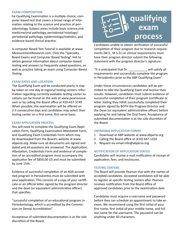## **EXAM COMPOSITION**

he Qualifying Examination is a multiple choice, computer-based test that covers a broad range of information relating to the science and practice of periodontology. Subject areas include basic science,oral medicine/oral pathology, periodontal histology/ periodontal pathology, epidemiology/statistics, and evidence-based clinical practice.

A computer Based Test Tutorial is available at www. MeasurementResearch.com. Click the "Specialty Board Exams and Computer Based Testing" link to obtain general information about computer-based testing and answers to frequently asked questions, as well as practice taking an exam using Computer Based Testing.

## **EXAM DATES AND LOCATION**

The Qualifying Exam will be conducted yearly. It may be taken on one day at regional testing centers. Information regarding currently available testing center locations can be found on the web at www.pearsonvue. com or by calling the Board office at 410-437-3749. When possible, the examination will be offered on 2-5 consecutive days and candidates may select their testing center on a first come, first serve basis.

## **EXAM APPLICATION PROCESS**

You will need to complete the Qualifying Exam Application Form, Qualifying Examination Attestation Form, and Qualifying Exam Credentials Form which may be downloaded from the Board's website at www. abperio.org. Make sure all documents are signed and dated and all questions are answered. The Application, Attestation, Credentials Form and evidence of completion of an accredited program must accompany the application fee of \$850.00 US and must be submitted by June 15th.

Evidence of successful completion of an ADA accredited program in Periodontics must be submitted with your application. This consists of a copy of your certificate or an official letter signed by the program director and the dean (or equivalent administrative officer) that specifies:

"successful completion of an educational program in Periodontology, which is accredited by the Commission on Dental Accreditation".

Acceptance of submitted documentation is at the sole discretion of the Board.



Candidates unable to obtain verification of successful completion of their program due to research requirements (M.S., M.S.D.) or clinical requirements must have their program director submit the following statement with the program director's signature:

"It is anticipated that Dr. \_\_\_\_\_\_\_\_\_\_\_ will satisfy all requirements and successfully complete the program in Periodontics prior to the ABP Qualifying Exam".

Under these circumstances candidates will be permitted to take the Qualifying Exam and receive their results. However, candidates must submit evidence of successful completion of their program (certificate or letter stating they HAVE successfully completed their program signed by BOTH the Program Director and the Dean (or equivalent administrative officer) before applying for and taking the Oral Exam. Acceptance of submitted documentation is at the sole discretion of the Board.

## **OBTAINING APPLICATION FORMS**

- 1. Download at ABP website at www.abperio.org
- 2. Calling the Board office at (410) 647-1324
- 3. Request via email info@abperio.org

## **NOTIFICATION OF APPLICATION STATUS**

Candidates will receive e-mail notification of receipt of application, fees, and enclosures.

## **TESTING CENTERS**

The Board will provide Pearson Vue with the names of accepted candidates. Accepted candidates will be able to register at specific testing centers after Pearson receives notification from the Board office of approved candidates prior to the examination date.

Candidates must acquire a username and password before they can schedule an appointment to take an exam. We recommend using the first initial of your first name, first initial of your middle name, and full last name for the username. The password can be anything under 40 characters.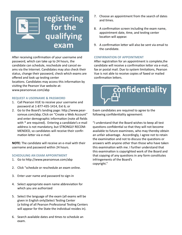

After receiving confirmation of your username and password, which can take up to 24 hours, the candidate can schedule, reschedule and cancel exams via the Internet. Candidates may also check their status, change their password, check which exams are offered and look up testing center

locations. Candidates may access this information by visiting the Pearson Vue website at: www.pearsonvue.com/abp

## **REQUEST A USERNAME & PASSWORD**

- 1. Call Pearson VUE to receive your username and password at 1-877-435-1414, Ext 6; or
- 2. Go to the Board's landing page: http://www.pearsonvue.com/abp; Click on "Create a Web Account" and enter demographic information (note all fields with \* are required). Entering a candidate's e-mail address is not mandatory, but STRONGLY RECOM-MENDED, so candidates will receive their confirmation letter via e-mail.

**NOTE:** The candidate will receive an e-mail with their username and password within 24 hours.

## **SCHEDULING AN EXAM APPOINTMENT**

- 1. Go to http://www.pearsonvue.com/abp
- 2. Click "schedule or reschedule an exam online.
- 3. Enter user name and password to sign-in
- 4. Select appropriate exam name abbreviation for which you are authorized
- 5. Select the language of the exam (all exams will be given in English only)Select Testing Center (a listing of all Pearson Professional Testing Centers will appear for the State the individual resides in).
- 6. Search available dates and times to schedule an exam.
- 7. Choose an appointment from the search of dates and times.
- 8. A confirmation screen including the exam name, appointment date, time, and testing center location will appear.
- 9. A confirmation letter will also be sent via email to the candidate.

## **CONFIRMATION OF APPOINTMENT**

After registration for an appointment is complete,the candidate will receive a confirmation letter via e-mail, fax or postal mail. Due to system limitations, Pearson Vue is not able to receive copies of faxed or mailed confirmation letters.



Exam candidates are required to agree to the following confidentiality agreement:

"I understand that the Board wishes to keep all test questions confidential so that they will not become available to future examinees, who may thereby obtain an unfair advantage. Accordingly, I agree not to retain the examination and not to discuss the questions or answers with anyone other than those who have taken this examination with me. I further understand that this examination is copyrighted work of the Board and that copying of any questions in any form constitutes infringements of the Board's copyright."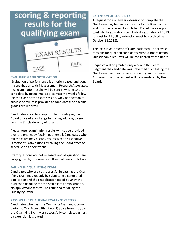# scoring & reporting results for the qualifying exam



## **EVALUATION AND NOTIFICATION**

Evaluation of performance is criterion based and done in consultation with Measurement Research Associates, Inc. Examination results will be sent in writing to the candidate by postal mail approximately 8 weeks following the close of the exam session. Only notification of success or failure is provided to candidates; no specific grades are reported.

Candidates are solely responsible for notifying the Board office of any change in mailing address, to ensure the timely delivery of results.

Please note, examination results will not be provided over the phone, by facsimile, or email. Candidates who fail the exam may discuss results with the Executive Director of Examinations by calling the Board office to schedule an appointment.

Exam questions are not released, and all questions are copyrighted by The American Board of Periodontology.

## **FAILING THE QUALIFYING EXAM**

Candidates who are not successful in passing the Qualifying Exam may reapply by submitting a completed application and the reapplication fee of \$850 by the published deadline for the next exam administration. No applications fees will be refunded to failing the Qualifying Exam.

## **PASSING THE QUALIFYING EXAM - NEXT STEPS**

Candidates who pass the Qualifying Exam must complete the Oral Exam within two (2) years from the year the Qualifying Exam was successfully completed unless an extension is granted.

## **EXTENSION OF ELIGIBILITY**

A request for a one-year extension to complete the Oral Exam may be made in writing to the Board office and must be received by October 31st of the year prior to eligibility expiration (i.e. Eligibility expiration of 2013; request for Eligibility extension must be received by October 31,2012).

The Executive Director of Examinations will approve extensions for qualified candidates without Board action. Questionable requests will be considered by the Board.

Requests will be granted only when in the Board's judgment the candidate was prevented from taking the Oral Exam due to extreme extenuating circumstances. A maximum of one request will be considered by the Board.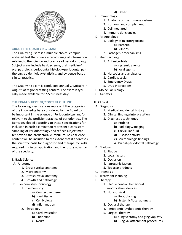

## A**BOUT THE QUALIFYING EXAM**

The Qualifying Exam is a multiple choice, computer-based test that covers a broad range of information relating to the science and practice of periodontology. Subject areas include basic science, oral medicine/ oral pathology, periodontal histology/periodontal pathology, epidemiology/statistics, and evidence-based clinical practice.

The Qualifying Exam is conducted annually, typically in August, at regional testing centers. The exam is typically made available for 2-5 business days.

## **THE EXAM BLUEPRINT/CONTENT OUTLINE**

The following specifications represent the categories of the knowledge base considered by the Board to be important in the science of Periodontology and/or relevant to the proficient practice of periodontics. The items developed according to these specifications for inclusion in each examination represent a consistent sampling of Periodontology and reflect subject matter beyond the predoctoral curriculum. Basic science content will be included to the extent that it addresses the scientific basis for diagnostic and therapeutic skills required in clinical application and the future advance of the specialty.

I. Basic Science

## A. Anatomy

- 1. Gross surgical anatomy
- 2. Microanatomy
- 3. Ultrasturctual anatomy
- 4. Growth and pathology
- B. Biochemistry-Physiology
	- 1. Biochemistry
		- a) Connective tissue
		- b) Hard tissue
		- c) Cell biology
		- d) Inflammation
	- 2. Physiology
		- a) Cardiovascular
		- b) Endocrine
		- c) Neural
- d) Other
- C. Immunology
	- 1. Anatomy of the immune system
	- 2. Humoral and complement
	- 3. Cell mediated
	- 4. Immune deficiencies
- D. Microbiology
	- 1. Biology of microorganisms
		- a) Bacteria
		- b) Viruses
	- 2. Pathogenic mechanisms
- E. Pharmacology
	- 1. Antimicrobials
		- a) systemic agents
		- b) local agents
		- 2. Narcotics and analgesics
		- 3. Cardiovascular
		- 4. Emergency Drugs
		- 5. Drug interactions
- F. Molecular Biology
- G. Genetics
- II. Clinical
- A. Diagnosis
	- 1. Medical and dental history
	- 2. Clinical findings/interpretation
	- 3. Diagnostic techniques
		- a) Probing
		- b) Radiology/imaging
		- c) Crevicular fluid
		- d) Disease activity
		- e) Microbiologic findings
		- 4. Pulpal-periodontal pathology
- B. Etiology
	- 1. Plaque
	- 2. Local factors
	- 3. Occlusion
	- 4. Iatrogenic factors
	- 5. Tobacco products
- C. Prognosis
- D. Treatment Planning
- E. Therapy
	- 1. Plaque control, behavioral modification, devices
	- 2. Non-surgical
		- a) Root planing
			- b) Systemic/local adjuncts
	- 3. Occlusal therapy
	- 4. Periodontic-Orthodontic therapy
	- 5. Surgical therapy
		- a) Gingivectomy and gingivoplasty
		- b) Gingival attachment procedures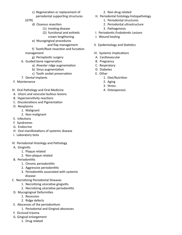c) Regeneration or replacement of periodontal supporting structures

(GTR)

- d) Osseous resection
	- (1) treating disease
	- (2) functional and esthetic crown lengthening
- e) Mucogingival procedures
	- and flap management
- f) Tooth/Root resection and furcation management
- - g) Perioplastic surgery
- 6. Guided bone regeneration
	- a) Alveolar ridge augmentation
	- b) Sinus augmentation
	- c) Tooth socket preservation
- 7. Dental implants
- F. Maintenance
- III. Oral Pathology and Oral Medicine
- A. Ulcers and vesicular-bullous lesions
- B. Hypersensitivity reactions
- C. Discolorations and Pigmentation
- D. Neoplasms
	- 1. Malignant
	- 2. Non-malignant
- E. Infections
- F. Syndromes
- G. Endocrine
- H. Oral manifestations of systemic disease
- I. Laboratory tests
- IV. Periodontal Histology and Pathology
- A. Gingivitis
	- 1. Plaque related
	- 2. Non-plaque related
- B. Periodontitis
	- 1. Chronic periodontitis
	- 2. Aggressive periodontitis
	- 3. Periodontitis associated with systemic disease
- C. Necrotizing Periodontal Diseases
	- 1. Necrotizing ulcerative gingivitis
	- 2. Necrotizing ulcerative periodontitis
- D. Mucogingival Deformities
	- 1. Recession
	- 2. Ridge defects
- E. Abscesses of the periodontium
	- 1. Periodontal and Gingival abscesses
- F. Occlusal trauma
- G. Gingival enlargement
	- 1. Drug related
- 2. Non-drug related
- H. Periodontal histology-histopathology
	- 1. Periodontal structures
	- 2. Periodontal ultrastructure
	- 3. Pathogenesis
- I. Periodontic-Endodontic Lesions
- J. Wound healing
- V. Epidemiology and Statistics
- VI. Systemic Implications
- A. Cardiovascular
- B. Pregnancy
- C. Respiratory
- D. Diabetes
- E. Other
	- 1. Diet/Nutrition
	- 2. Aging
	- 3. Stress
	- 4. Osteoporosis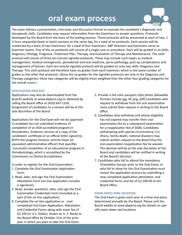# oral exam process



The exam follows a presentation, interview, and discussion format to evaluate the candidate's diagnostic and therapeutic skills. Candidates may request information from the Examiners to answer questions. Protocols developed by the Board form the basis of the testing process. Three protocols will be presented at each of two, 1  $\frac{1}{2}$  hour sequential (back to back) sessions on the same day, for a total of six protocols. Each session will be conducted by a team of two Examiners, for a total of four Examiners. ABP Directors and Examiners serve as Examiner teams. Five of the six protocols will consist of a single case or procedure. Each will be graded in six skills; Diagnosis, Etiology, Prognosis, Treatment Plan, Therapy, and Evaluation of Therapy and Maintenance. The sixth protocol will consist of three ten-minute vignette protocols. These may include such topics as medical management, medical emergencies, periodontal and oral medicine, perio-pathology, post-op complications and management of failures. Each ten-minute vignette protocol will be graded on only two skills: Diagnosis and Therapy. This sixth protocol will therefore have six grades from each Examiner, which is the same number of grades as the other five protocols. (Since the six grades for the vignette protocols are only in the Diagnosis and Therapy categories, these two categories will be slightly more weighted than the other four grading categories for the overall score.)

## **APPLICATION PROCESS:**

Applications may also be downloaded from the Board's website at www.abperio.org or obtained by calling the Board office at (410) 647-1324. Assignment of candidates to a session will be at the sole discretion of the Board.

Applications for the Oral Exam will not be approved if candidate has not submitted evidence of completion of an ADA accredited program in Periodontics. Evidence consists of a copy of the candidate's certificate or an official letter signed by BOTH the program Director and the Dean (or equivalent administrative officer) that specifies "successful completion of an educational program in Periodontology, which is accredited by the Commission on Dental Accreditation.

In order to register for the Oral Examination:

- 1. Complete the Oral Examination Application Form.
- 2. Read, date, and sign the Oral Examination Attestation Form (on-line application includes e-signature).
- 3. Read, answer questions, date, and sign the Oral Examination Credentials Form (included as a part of the on-line application).
- 4. Complete the on-line application or , mail completed Oral Exam Application, Attestation, and Credential Forms along with exam fee of \$2,100 (in U.S. Dollars, drawn on U. S. Bank) to the Board office by October 31st of the prior year in which you plan to take the Oral Exam.
- 5. Provide a full color passport style photo (allowable formats include jpg, tif, png, pdf).Candidates who request to withdraw from the oral examination must submit their request in writing to the Board office.
- 6. Candidates who withdraw and whose eligibility has not expired may transfer their oral examination fee to a subsequent examination for a reapplication fee of \$600. Candidates withdrawing with special circumstance; (i.e. illness, family death, national disaster) may submit written request to the Board that the oral examination reapplication fee be waived. The decision will be at the sole discretion of the Board and candidates will be notified in writing of the Board's decision.
- 7. Candidates who fail to attend the mandatory Orientation Session prior to the Oral Exam; or who fail to show for the Oral Examination must restart the application process by submitting a new completed application,attestation, and credential forms and fee of \$2,100.00 to the Board office.

## **EXAM DATES AND LOCATION:**

The Oral Exam is given each year at a time and place determined annually by the Board. Please visit the Board webite at www.abperio.org for details on specific exam dates and locations.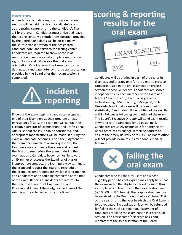## **ORIENTATION**

A mandatory candidate registration/orientation session will be held the day of candidate's exam at the testing center prior to the candidate's first 1.5 hr oral exam. Candidates must arrive and leave the testing center via shuttle transportation provided by the Board. Candidates will be picked up by the shuttle transportation at the designated candidate hotel and taken to the testing center. Candidates are required to show photo id at registration. Candidates will complete registration sign-in forms and will receive the oral exam orientation. Candidates will be taken back to the designated candidate hotel by shuttle transportation provided by the Board after their exam session is completed.



If, before the exam begins, a candidate recognizes one of their Examiners as their program director or residency faculty, the Examiner will contact the Executive Director of Examinations and Professional Affairs, so that the issue can be considered, and appropriate modifications will be made. If during the exam a Candidate becomes ill or if the judgment of the Examiners, unable to answer questions, the Examiners may terminate the exam and request the Board to reschedule the exam. If during the examination a Candidate becomes hostile toward an Examiner or accuses the Examiner of bias or inappropriate conduct, the Examiners may terminate the exam and request the Board to reschedule the exam. Incident reports are available to Examiners and Candidates and should be completed at the time of the exam. Reports of Incidents are referred to the Executive Director of Examinations and Professional Affairs. Ultimately, rescheduling of the exam is at the sole discretion of the Board.

## scoring & reporting results for the oral exam



Candidates will be graded in each of the six (or in diagnosis and therapy only for the vignette protocol) categories listed in the oral examination process section of these Guidelines. Candidates are scored independently by each member of the Examiner teams (2 each session). Each skill is graded as: 4-Outstanding; 3-Satisfactory; 2-Marginal; or 1- Unsatisfactory. Final scores will be computed statistically. Candidates will be notified of the results within 4-6 weeks following completion of the exam. The Board's Executive Director will send exam results in writing to the candidate by US postal mail. Candidates are solely responsible for notifying the Board office of any change in mailing address to ensure the timely delivery of results. The Board office will not provide exam results by phone, email, or facsimile.



Candidates who fail the Oral Exam and whose eligibility period has not expired may apply to repeat the exam within the eligibility period by submitting a completed application and the reapplication fee of \$2,100.00 (in U.S. funds). The reapplication fee must be received by the Board on or before October 31st of the year prior to the year in which the Oral Exam is to be repeated. No application fees will be refunded for failing the Oral Examination. Placement of candidates retaking the examination in a particular session is on a first come/first serve basis and ultimately at the sole discretion of the Board.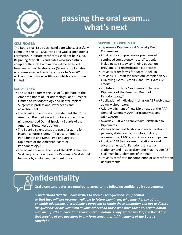

# passing the oral exam... what's next

## **CERTIFICATES:**

The Board shall issue each candidate who successfully completes the ABP Qualifying and Oral Examination a certificate. Duplicate certificates shall not be issued. Beginning May 2013 candidates who successfully complete the Oral Examination will be awarded time-limited certificates of six (6) years. Diplomates who were awarded certificates prior to May 2013 will continue to have certificates which are not time limited.

## **USE OF TERMS**

- The Board endorses the use of "Diplomate of the American Board of Periodontology" and "Practice Limited to Periodontology and Dental Implant Surgery" in professional letterheads and advertisements.
- The Board also endorses the statement that "The American Board of Periodontology is one of the nine recognized Dental Specialty Boards of the American Dental Association".
- The Board also endorses the use of a stamp for insurance forms stating, "Practice Limited to Periodontics and Dental Implant Surgery, Diplomate of the American Board of Periodontology."
- The Board endorses the use of the ABP Diplomate Seal. Requests to acquire the Diplomate Seal should be made by contacting the Board office.

## **SUPPORT FOR DIPLOMATES**

- Represents Diplomates at Specialty Board Conferences
- Provides for comprehensive programs of continued competency (recertification), including self-study continuing education programs and recertification certificates
- Provides order forms for Board Lapel Pin
- Provides CE Credit for successful completion ABP Qualifying Exam(6 Credits) and Oral Exam (12 credits)
- Publishes Brochure "Your Periodontist is a Diplomate of the American Board of Periodontology"
- Publication of individual listings on ABP web pages at www.abperio.org
- Acknowledgment of new Diplomates at the AAP General Assembly, AAP Periospectives, and ABP Website
- Awards 25-50 Year Anniversary Certificates to Diplomates
- Verifies Board certification and recertification to patients, state boards, hospitals, military organizations, HMO's, and insurance companies
- Provides ABP Seal for use on stationary and in advertisements. All Periodontist listed on stationary and in advertisements that include ABP Seal must be Diplomates of the ABP
- Provides certificate for completion of Recertification Requirements

# **Confidentiality**

 **Oral exam candidates are required to agree to the following confidentiality agreement:**

 *"I understand that the Board wishes to keep all test questions confidential so that they will not become available to future examinees, who may thereby obtain an unfair advantage. Accordingly, I agree not to retain the examination and not to discuss the questions or answers with anyone other than those who have taken this examination with me. I further understand that this examination is copyrighted work of the Board and that copying of any questions in any form constitutes infringements of the Board's copyright."*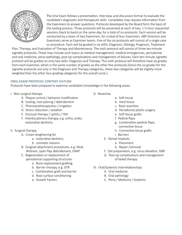

The Oral Exam follows a presentation, interview, and discussion format to evaluate the candidate's diagnostic and therapeutic skills. Candidates may request information from the Examiners to answer questions. Protocols developed by the Board form the basis of the testing process. Three protocols will be presented at each of two, 1 ½ hour sequential sessions (back to back) on the same day, for a total of six protocols. Each session will be conducted by a team of two Examiners, for a total of four Examiners. ABP Directors and Examiners serve as Examiner teams. Five of the six protocols will consist of a single case or procedure. Each will be graded in six skills; Diagnosis, Etiology, Prognosis, Treatment

Plan, Therapy, and Evaluation of Therapy and Maintenance. The sixth protocol will consist of three ten-minute vignette protocols. These may include such topics as medical management, medical emergencies, periodontal and oral medicine, perio-pathology, post-op complications and management of failures. Each ten-minute vignette protocol will be graded on only two skills: Diagnosis and Therapy. This sixth protocol will therefore have six grades from each Examiner, which is the same number of grades as the other five protocols.(Since the six grades for the vignette protocols are only in the Diagnosis and Therapy categories, these two categories will be slightly more weighted than the other four grading categories for the overall score.)

## **ORAL EXAM PROTOCOL CONTENT OUTLINE**

Protocols have been prepared to examine candidate's knowledge in the following areas:

- I. Non-surgical therapy
	- A. Plaque control / behavior modification
	- B. Scaling, root planing / debridement
	- C. Pharmacotherapeutics / irrigation
	- D. Stress reduction / sedation
	- E. Occlusal therapy / splints / TMJ
	- F. Interdisciplinary therapy, e.g. ortho, endo, restorative dentistry
- II. Surgical therapy
	- A. Crown lengthening for
		- a. restorative dentistry
		- b. cosmetic reasons
	- B. Gingival attachment procedures, e.g. Mod. Widman, open flap debridement, ENAP
	- C. Regeneration or replacement of periodontal supporting structures
		- a. Bone replacement grafting
		- b. Barrier therapy, e.g. GTR
		- c. Combination graft and barrier
		- d. Root surface conditioning
		- e. Growth Factors
- D. Resective
- a. Soft tissue
- b. Hard tissue
- c. Root resection
- d. Periodontal plastic surgery
- e. Soft tissue grafts
- f. Pedicle flaps
- g. Combination pedicle flaps, connective tissue
- h. Connective tissue grafts
- i. Barriers
- E. Dental implants
	- a. Placement
		- b. Repair /removal
- F. Site preparation, e.g. sinus elevation, GBR
- G. Post-op complications and management of failed therapy
- III. Oral/Systemic Interrelationships
	- A. Oral medicine
	- B. Oral pathology
	- C. Perio / Medicine / Systemic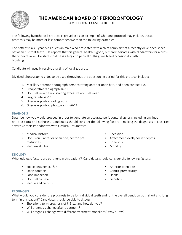

## **THE AMERICAN BOARD OF PERIODONTOLOGY**

SAMPLE ORAL EXAM PROTOCOL

The following hypothetical protocol is provided as an example of what one protocol may include. Actual protocols may be more or less comprehensive than the following example:

The patient is a 41-year-old Caucasian male who presented with a chief complaint of a recently developed space between his front teeth. He reports that his general health is good, but premedicates with clindamycin for a prosthetic heart valve. He states that he is allergic to penicillin. His gums bleed occasionally with brushing.

Candidate will usually receive charting of localized area.

Digitized photographic slides to be used throughout the questioning period for this protocol include:

- 1. Maxillary anterior photograph demonstrating anterior open bite, and open contact 7-8.
- 2. Preoperative radiograph #6-11
- 3. Occlusal view demonstrating excessive occlusal wear
- 4. Surgical site #6-11
- 5. One-year post-op radiographs
- 6. One-year post-op photographs #6-11

## **DIAGNOSIS**

Describe how you would proceed in order to generate an accurate periodontal diagnosis including any intraoral and extra-oral pathoses. Candidates should consider the following factors in making the diagnoses of Localized Severe Chronic Periodontitis with Occlusal Traumatism:

- Medical history
- Occlusion anterior open bite, centric prematurities
- Plaque/calculus
- Recession
- Attachment levels/pocket depths
- Bone loss
- Mobility

## **ETIOLOGY**

What etiologic factors are pertinent in this patient? Candidates should consider the following factors:

- Space between #7 & 8
- Open contacts
- Food impaction
- Occlusal trauma
- Plaque and calculus
- 
- Anterior open bite
- Centric prematurity
- Habits
- Genetics

## **PROGNOSIS**

What would you consider the prognosis to be for individual teeth and for the overall dentition both short and long term in this patient? Candidates should be able to discuss:

- Short/long term prognosis of #'6-11, and how derived?
- Will prognosis change after treatment?
- Will prognosis change with different treatment modalities? Why? How?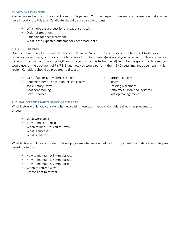## **TREATMENT PLANNING**

Please proceed with your treatment plan for this patient. You may request to review any information that you believe important to this task. Candidate should be prepared to discuss:

- Which options are best for this patient and why
- Order of treatment
- Rationale for each treatment
- What is the expected outcome for each treatment?

## **SELECTED THERAPY**

Discuss the rationale for the selected therapy. Possible Questions: 1) Since you chose to extract #7,8 please provide your rationale; 2) If you chose to retain #7,8 what therapy(ies) would you consider; 3) Please provide in detail your technique for grafting #7,8. and why you chose this technique; 4) Describe the specific techniques you would use for the treatment of #'s 7 & 8 and how you would perform them; 5) Discuss implant placement in this region. Candidate should be prepared to discuss:

- GTR flap design, materials, steps
- Root treatment how (manual, sonic, ultrasonic, rotary), why?
- Root conditioning
- Graft –choices
- Barrier choices
- Suture
- Dressing placement?
- Antibiotics localized- systemic
- Post-op management

## **EVALUATION AND MAINTENANCE OF THERAPY**

What factors would you consider when evaluating results of therapy? Candidate should be prepared to discuss:

- What were goals
- How to measure results
- When to measure results why?
- What is success?
- What is failure?

What factors would you consider in developing a maintenance schedule for this patient? Candidate should be prepared to discuss:

- How to maintain 0-3 mm pockets
- How to maintain 3-5 mm pockets
- How to maintain 5-7 mm pockets
- When to retreat-Why
- Reasons not to retreat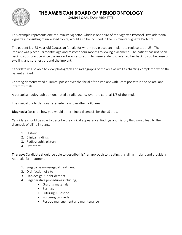

## **THE AMERICAN BOARD OF PERIODONTOLOGY**

SAMPLE ORAL EXAM VIGNETTE

This example represents one ten-minute vignette, which is one third of the Vignette Protocol. Two additional vignettes, consisting of unrelated topics, would also be included in the 30-minute Vignette Protocol.

The patient is a 63-year-old Caucasian female for whom you placed an implant to replace tooth #5. The implant was placed 18 months ago and restored four months following placement. The patient has not been back to your practice since the implant was restored. Her general dentist referred her back to you because of swelling and soreness around the implant.

Candidate will be able to view photograph and radiographs of the area as well as charting completed when the patient arrived.

Charting demonstrated a 10mm. pocket over the facial of the implant with 5mm pockets in the palatal and interproximals.

A periapical radiograph demonstrated a radiolucency over the coronal 1/3 of the implant.

The clinical photo demonstrates edema and erythema #5 area,

**Diagnosis:** Describe how you would determine a diagnosis for the #5 area.

Candidate should be able to describe the clinical appearance, findings and history that would lead to the diagnosis of ailing implant.

- 1. History
- 2. Clinical findings
- 3. Radiographic picture
- 4. Symptoms

**Therapy:** Candidate should be able to describe his/her approach to treating this ailing implant and provide a rationale for treatment.

- 1. Surgical vs non-surgical treatment
- 2. Disinfection of site
- 3. Flap design & debridement
- 4. Regenerative procedures including;
	- Grafting materials
		- Barriers
		- Suturing & Post-op
		- Post-surgical meds
		- Post-op management and maintenance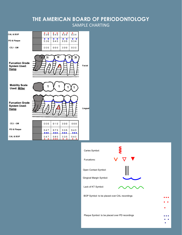## **THE AMERICAN BOARD OF PERIODONTOLOGY** SAMPLE CHARTING



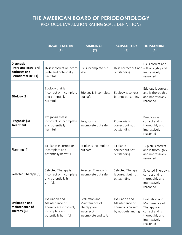## **THE AMERICAN BOARD OF PERIODONTOLOGY** PROTOCOL EVALUATION RATING SCALE DEFINITIONS

|                                                                                  | <b>UNSATISFACTORY</b><br>(1)                                                                        | <b>MARGINAL</b><br>(2)                                                               | <b>SATISFACTORY</b><br>(3)                                                   | <b>OUTSTANDING</b><br>(4)                                                                                       |
|----------------------------------------------------------------------------------|-----------------------------------------------------------------------------------------------------|--------------------------------------------------------------------------------------|------------------------------------------------------------------------------|-----------------------------------------------------------------------------------------------------------------|
| <b>Diagnosis</b><br>(intra-and extra-oral<br>pathoses and<br>Periodontal Dx) (1) | Dx is incorrect or incom-<br>plete and potentially<br>harmful.                                      | Dx is incomplete but<br>safe                                                         | Dx is correct but not is thoroughly and<br>outstanding                       | Dx is correct and<br>impressively<br>reasoned                                                                   |
| Etiology (2)                                                                     | Etiology that is<br>incorrect or incomplete<br>and potentially<br>harmful.                          | Etiology is incomplete<br>but safe                                                   | Etiology is correct<br>but not outstaning                                    | Etiology is correct<br>and is thoroughly<br>and impressively<br>reasoned                                        |
| Prognosis (3)<br><b>Treatment</b>                                                | Prognosis that is<br>incorrect or incomplete<br>and potentially<br>harmful.                         | Prognosis is<br>incomplete but safe                                                  | Prognosis is<br>correct but not<br>outstanding                               | Prognosis is<br>correct and is<br>thoroughly and<br>impressively<br>reasoned                                    |
| Planning (4)                                                                     | Tx plan is incorrect or<br>incomplete and<br>potentially harmful.                                   | Tx plan is incomplete<br>but safe                                                    | Tx plan is<br>correct but not<br>outstanding                                 | Tx plan is correct<br>and is thoroughly<br>and impressively<br>reasoned                                         |
| <b>Selected Therapy (5)</b>                                                      | Selected Therapy is<br>incorrect or incomplete<br>and potentially h<br>armful.                      | Selected Therapy is<br>incomplete but safe                                           | Selected Therapy<br>is correct but not<br>outstanding                        | Selected Therapy is<br>correct and is<br>thoroughly and<br>impressively<br>reasoned                             |
| <b>Evaluation and</b><br><b>Maintenance of</b><br>Therapy (6)                    | Evaluation and<br>Maintenance of<br>Therapy are incorrect/<br>incomplete and<br>potentially harmful | Evaluation and<br>Maintenance of<br>Therapy are<br>incorrect/<br>incomplete and safe | Evaluation and<br>Maintenance of<br>Therapy is correct<br>by not outstanding | Evaluation and<br>Maintenance of<br>Therapy are<br>correct and is<br>thoroughly and<br>impressively<br>reasoned |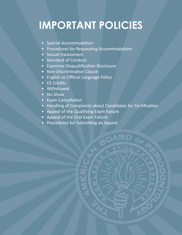# **IMPORTANT POLICIES**

- Special Accommodation
- Procedures for Requesting Accommodations
- Sexual Harassment
- Standard of Conduct
- Examiner Disqualification Disclosure
- Non-Discrimination Clause
- English as Official Language Policy
- **CE Credits**
- Withdrawal
- No Show
- Exam Cancellation
- Handling of Complaints about Candidates for Certification
- Appeal of the Qualifying Exam Failure
- Appeal of the Oral Exam Failure
- Procedures for Submitting an Appeal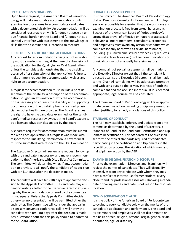## **SPECIAL ACCOMMODATIONS**

Upon timely request, the American Board of Periodontology will make reasonable accommodations to its examination procedures to accommodate candidates with a documented disability. An accommodation will be considered reasonable only if it (1) does not pose an undue financial burden on the Board and (2) does not substantially interfere with assessment of the knowledge or skills that the examination is intended to measure.

## **PROCEDURES FOR REQUESTING ACCOMMODATIONS**

Any request for accommodation arising out of a disability must be made in writing at the time of submission of the application for the Qualifying or Oral Examination unless the candidate demonstrates that the disability occurred after submission of the application. Failure to make a timely request for accommodation waives any right to an accommodation.

A request for accommodation must include a brief description of the disability, a description of the accommodation sought, an explanation of why the accommodation is necessary to address the disability and supporting documentation of the disability from a licensed physician or other health care provider. The Board reserves the right to have the candidate examined, or the candidate's medical records reviewed, at the Board's expense, by a licensed physician designated by the Board.

A separate request for accommodation must be submitted with each application. If a request was made with respect to the Qualifying Examination, a new request must be submitted with respect to the Oral Examination.

The Executive Director will review any request, follow up with the candidate if necessary, and make a recommendation to the Americans with Disabilities Act Committee. The committee will determine what, if any, accommodation to provide. It will notify the candidate of its decision with ten (10) days after the decision is made.

The candidate will have ten (10) days to appeal the decision to the Appeals Committee. The candidate may appeal by writing a letter to the Executive Director explaining why the accommodation offered by the committee is inadequate. Unless the Appeals Committee decides otherwise, no presentation will be permitted other than such letter. The Committee will consider the appeal in a specially convened conference call. It will notify the candidate with ten (10) days after the decision is made. Any questions about the this policy should to addressed to the Board Office.

## **SEXUAL HARASSMENT POLICY**

It is the policy of The American Board of Periodontology that all Directors, Consultants, Examiners, and Employees are responsible for assuring that the work place and examination process is free from sexual harassment. Because of the American Board of Periodontology's strong disapproval of offensive or inappropriate sexual behavior, all Board members, consultants, examiners, and employees must avoid any action or conduct which could reasonably be viewed as sexual harassment, including: (1) unwelcome sexual advances, (2) requests for sexual acts or favors or (3) other communications or physical conduct of a sexually harassing nature.

Any complaint of sexual harassment shall be made to the Executive Director except that if the complaint is directed against the Executive Director, it shall be made to the Chair. All complaints will be addressed promptly and with sensitivity to the privacy interests of both the complainant and the accused individual. If it is deemed appropriate, legal counsel will be consulted.

The American Board of Periodontology will take appropriate corrective action, including disciplinary measures when justified, to remedy all violations of this policy.

## **STANDARD OF CONDUCT**

The ABP may establish, enforce, and update from time to time, as determined by the Board of Directors, a Standard of Conduct for Candidate Certification and Diplomate Recertification. This Standard of Conduct shall set forth the ethical standards required of candidates participating in the certification and Diplomates in the recertification process, the violation of which may result in disciplinary action by the ABP.

## **EXAMINER DISQUALIFICATION DISCLOSURE**

Prior to the examination, Directors and Examiners will review the names of candidates. They will disqualify themselves from any candidate with whom they may have a conflict of interest (i.e. former student, a very close friend, or professional associate). Knowing a candidate or having met a candidate is not reason for disqualification.

## **NON-DISCRIMINATION CLAUSE**

It is the policy of the American Board of Periodontology to evaluate every candidate solely on the merits of the candidate's application and performance. The Board and its examiners and employees shall not discriminate on the basis of race, religion, national origin, gender, sexual orientation, age, or disability.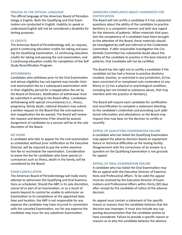#### **ENGLISH AS THE OFFICIAL LANGUAGE**

The official language of the American Board of Periodontology is English. Both the Qualifying and Oral Examination are conducted in English. Inability to speak or understand English will not be considered a disability for testing purposes.

## **CE CREDITS**

The American Board of Periodontology will, on request, grant 6 continuing education credits for taking and passing the Qualifying Examination, 12 continuing education credits for taking and passing the oral examination, and 2 continuing education credits for completion of the Self Study Recertification Program.

#### **WITHDRAWAL**

Candidates who withdraw prior to the Oral Examination and whose eligibility has not expired may transfer their oral examination fee to a subsequent examination within their eligibility period for a reapplication fee set by the Board of Directors. Notification of withdrawal must be submitted in writing to the Board office. Candidates withdrawing with special circumstances (i.e., illness, pregnancy, family death, national disaster) may submit a written request to the Board that the oral examination reapplication fee be waived. The Board will review the request and determine if fee should be waived. Assignment of candidates to a session will be at the sole discretion of the Board.

#### **NO SHOW**

A candidate who fails to appear for the oral examination as scheduled, without prior notification to the Executive Director, will be required to pay the entire examination fee to reschedule the examination. Consideration to waive the fee for candidates who have special circumstances such as illness, death in the family, will be considered by the Board.

#### **EXAM CANCELLATION**

The American Board of Periodontology will make every attempt to administer the Qualifying and Oral Examinations as scheduled. Should the ABP, in its sole discretion, cancel all or part of an Examination, or as a result of events beyond its control be unable to administer an Examination to its completions at the appointed date, time and location, the ABP is not responsible for any expense the candidate may have incurred in connection with the canceled Examination, nor for any expense the candidate may incur for any substitute Examination.

## **HANDLING COMPLAINTS ABOUT CANDIDATES FOR CERTIFICATION**

The Board will not certify a candidate if it has substantial questions about the ability of the candidate to practice dentistry in a competent manner and with due regard for the interests of patients. When materials that question the competence of a candidate have been brought to the attention of the Board, these materials should be investigated by staff and referred to the Credentials Committee. If after reasonable investigation the Credentials Committee has substantial doubt about the ability of the candidate to practice in the best interest of patients, that Candidate will not be certified.

The Board has the right not to certify a candidate if the candidate (a) has had a license to practice dentistry revoked, Inactive, or restricted in any jurisdiction, b) has been convicted of or completed nolo contendere to any felony or (c) has a physical or psychological condition, including but not limited to substance abuse, that may interfere with the practice of dentistry).

The Board will require each candidate for certification and recertification to complete a statement attesting to the candidate's credentials and providing such additional information and attestations as the Board may request that may bear on the decision to certify or recertify.

#### **APPEAL OF QUALIFYING EXAMINATION FAILURE**

A candidate who has failed the Qualifying Examination may appeal the adverse decision based on equipment failure or technical difficulties at the testing facility. Disagreement with the correctness of an answer to a question on the Qualifying Examination is not grounds for appeal.

## **APPEAL OF ORAL EXAMINATION FAILURE**

A candidate who has failed the Oral Examination may file an appeal with the Executive Director of Examinations and Professional Affairs. To be valid the appeal must be received by the Executive Director of Examinations and Professional Affairs within thirty (30) days after receipt by the candidate of notice of the adverse decision.

An appeal must contain a statement of the specific reason or reasons that the candidate believes that the decision was improper. It must also include any supporting documentation that the candidate wishes to have considered. Failure to provide a specific reason or reasons as to why the candidate believes the adverse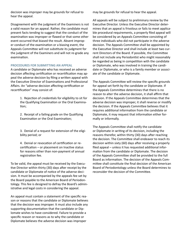decision was improper may be grounds for refusal to hear the appeal.

Disagreement with the judgment of the Examiners is not a valid reason for an appeal. Rather, the candidate must present facts tending to suggest that the conduct of the examination was improper or flawed or that some other event occurred that biased the result. Absent improper conduct of the examination or a biasing event, the Appeals Committee will not substitute its judgment for the judgment of the Examiners and will not re-grade any examination.

## **PROCEDURES FOR SUBMITTING AN APPEAL**

A candidate or Diplomate who has received an adverse decision affecting certification or recertification may appeal the adverse decision by filing a written appeal with the Executive Director of Examinations and Professional Affairs. An "adverse decision affecting certification or recertification" may consist of:

> 1. Rejection of credentials for eligibility to sit for the Qualifying Examination or the Oral Examination;

2. Receipt of a failing grade on the Qualifying Examination or the Oral Examination;

3. Denial of a request for extension of the eligibility period; or

4. Denial or revocation of certification or recertification – or placement on Inactive status for reasons other than non-payment of annual registration fee.

To be valid, the appeal must be received by the Executive Director within thirty (30) days after receipt by the candidate or Diplomate of notice of the adverse decision. It must be accompanied by the appeals fee set by the Board payable to the American Board of Periodontology. This fee is designed to defray the Board's administrative and legal costs in considering the appeal.

An appeal must contain a statement of the specific reason or reasons that the candidate or Diplomate believes that the decision was improper. It must also include any supporting documentation that the candidate or Diplomate wishes to have considered. Failure to provide a specific reason or reasons as to why the candidate or Diplomate believes the adverse decision was improper

may be grounds for refusal to hear the appeal.

All appeals will be subject to preliminary review by the Executive Director. Unless the Executive Director determines that an appeal is frivolous or fails to meet applicable procedural requirements, a properly filed appeal will be considered by an Appeals Committee consisting of three individuals who did not participate in the adverse decision. The Appeals Committee shall be appointed by the Executive Director and shall include at least two current Directors of the Board. If possible, the Committee shall not include any Periodontist who might reasonably be regarded as being in competition with the candidate or Diplomate, who was involved in training the candidate or Diplomate, or who is a family member or associate of the candidate or Diplomate.

The Appeals Committee will review the specific grounds for appeal set forth by the candidate or Diplomate. If the Appeals Committee determines that there is no reason to alter the adverse decision, it shall affirm that decision. If the Appeals Committee determines that the adverse decision was improper, it shall reverse or modify the decision. If the Appeals Committee believes that it requires additional information from the candidate or Diplomate, it may request that information either formally or informally.

The Appeals Committee shall notify the candidate or Diplomate in writing of its decision, including the reasons therefor, within thirty (30) days after reaching the decision. The Committee shall endeavor to reach its decision within sixty (60) days after receiving a properly filed appeal – unless it has requested additional information from the candidate or Diplomate. The decision of the Appeals Committee shall be provided to the full Board as information. The decision of the Appeals Committee shall constitute the final decision of the American Board of Periodontology unless the Board determines to reconsider the decision of the Committee.